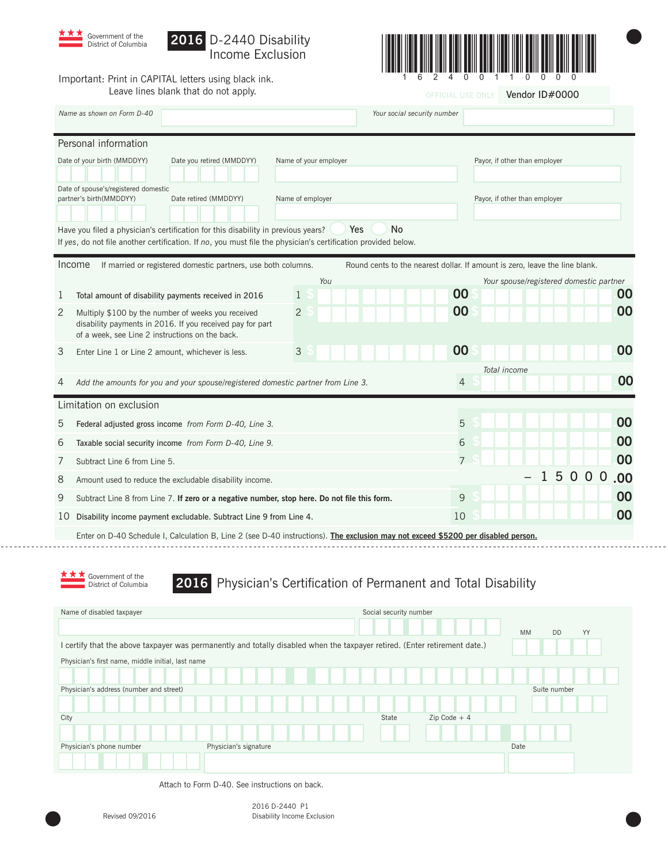

# **2016** D-2440 Disability



OFFICIAL USE ONLY **Vendor ID#0000** 

 $\bullet$ 

Important: Print in CAPITAL letters using black ink. Leave lines blank that do not apply.

| Name as shown on Form D-40<br>Your social security number                                                                                                                                                              |                                                                                                                                                                    |                |                         |              |                                         |       |    |  |     |
|------------------------------------------------------------------------------------------------------------------------------------------------------------------------------------------------------------------------|--------------------------------------------------------------------------------------------------------------------------------------------------------------------|----------------|-------------------------|--------------|-----------------------------------------|-------|----|--|-----|
| Personal information                                                                                                                                                                                                   |                                                                                                                                                                    |                |                         |              |                                         |       |    |  |     |
| Date of your birth (MMDDYY)<br>Date you retired (MMDDYY)<br>Name of your employer<br>Payor, if other than employer                                                                                                     |                                                                                                                                                                    |                |                         |              |                                         |       |    |  |     |
| Date of spouse's/registered domestic<br>partner's birth(MMDDYY)<br>Date retired (MMDDYY)<br>Name of employer                                                                                                           |                                                                                                                                                                    |                |                         |              | Payor, if other than employer           |       |    |  |     |
| <b>No</b><br>Have you filed a physician's certification for this disability in previous years?<br>Yes<br>If yes, do not file another certification. If no, you must file the physician's certification provided below. |                                                                                                                                                                    |                |                         |              |                                         |       |    |  |     |
| Income<br>If married or registered domestic partners, use both columns.<br>Round cents to the nearest dollar. If amount is zero, leave the line blank.                                                                 |                                                                                                                                                                    |                |                         |              |                                         |       |    |  |     |
|                                                                                                                                                                                                                        |                                                                                                                                                                    | You            |                         |              | Your spouse/registered domestic partner |       |    |  |     |
| 1                                                                                                                                                                                                                      | Total amount of disability payments received in 2016                                                                                                               | 1              | 00                      |              |                                         |       |    |  | 00  |
| 2                                                                                                                                                                                                                      | Multiply \$100 by the number of weeks you received<br>disability payments in 2016. If you received pay for part<br>of a week, see Line 2 instructions on the back. | $\overline{c}$ | 00                      |              |                                         |       |    |  | 00  |
| 3                                                                                                                                                                                                                      | Enter Line 1 or Line 2 amount, whichever is less.                                                                                                                  | 3              | 00                      |              |                                         |       |    |  | 00  |
|                                                                                                                                                                                                                        |                                                                                                                                                                    |                |                         | Total income |                                         |       |    |  |     |
| 4                                                                                                                                                                                                                      | Add the amounts for you and your spouse/registered domestic partner from Line 3.                                                                                   |                | 4                       |              |                                         |       |    |  | 00  |
| Limitation on exclusion                                                                                                                                                                                                |                                                                                                                                                                    |                |                         |              |                                         |       |    |  |     |
| 5                                                                                                                                                                                                                      | Federal adjusted gross income from Form D-40, Line 3.                                                                                                              |                | 5                       |              |                                         |       |    |  | 00  |
| 6                                                                                                                                                                                                                      | Taxable social security income from Form D-40, Line 9.                                                                                                             |                | 6                       |              |                                         |       |    |  | 00  |
| 7                                                                                                                                                                                                                      | Subtract Line 6 from Line 5.                                                                                                                                       |                | $\overline{7}$          |              |                                         |       |    |  | 00  |
| 8                                                                                                                                                                                                                      | Amount used to reduce the excludable disability income.                                                                                                            |                |                         |              |                                         | 15000 |    |  | .00 |
| 9                                                                                                                                                                                                                      | Subtract Line 8 from Line 7. If zero or a negative number, stop here. Do not file this form.                                                                       |                | 9                       |              |                                         |       |    |  | 00  |
| 10                                                                                                                                                                                                                     | Disability income payment excludable. Subtract Line 9 from Line 4.                                                                                                 |                | 10                      |              |                                         |       |    |  | 00  |
|                                                                                                                                                                                                                        | Enter on D-40 Schedule I, Calculation B, Line 2 (see D-40 instructions). The exclusion may not exceed \$5200 per disabled person.                                  |                |                         |              |                                         |       |    |  |     |
|                                                                                                                                                                                                                        |                                                                                                                                                                    |                |                         |              |                                         |       |    |  |     |
| Government of the<br>Physician's Certification of Permanent and Total Disability<br>2016<br>District of Columbia                                                                                                       |                                                                                                                                                                    |                |                         |              |                                         |       |    |  |     |
|                                                                                                                                                                                                                        | Name of disabled taxpayer                                                                                                                                          |                | Social security number  |              |                                         |       |    |  |     |
|                                                                                                                                                                                                                        |                                                                                                                                                                    |                |                         |              | MM<br>DD                                |       | YY |  |     |
| I certify that the above taxpayer was permanently and totally disabled when the taxpayer retired. (Enter retirement date.)                                                                                             |                                                                                                                                                                    |                |                         |              |                                         |       |    |  |     |
| Physician's first name, middle initial, last name                                                                                                                                                                      |                                                                                                                                                                    |                |                         |              |                                         |       |    |  |     |
|                                                                                                                                                                                                                        | Physician's address (number and street)                                                                                                                            |                |                         |              | Suite number                            |       |    |  |     |
|                                                                                                                                                                                                                        |                                                                                                                                                                    |                |                         |              |                                         |       |    |  |     |
| City                                                                                                                                                                                                                   |                                                                                                                                                                    |                | $Zip Code + 4$<br>State |              |                                         |       |    |  |     |
|                                                                                                                                                                                                                        |                                                                                                                                                                    |                |                         |              |                                         |       |    |  |     |
|                                                                                                                                                                                                                        | Physician's phone number<br>Physician's signature                                                                                                                  |                |                         |              | Date                                    |       |    |  |     |
|                                                                                                                                                                                                                        |                                                                                                                                                                    |                |                         |              |                                         |       |    |  |     |

Attach to Form D-40. See instructions on back.

. . . . . . . . .

Revised 09/2016 Disability Income Exclusion 2016 D-2440 P1 Disability Income Exclusion